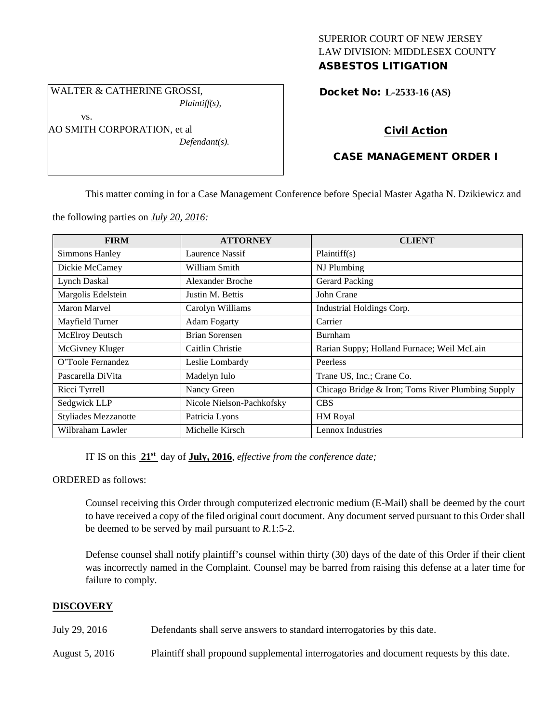### SUPERIOR COURT OF NEW JERSEY LAW DIVISION: MIDDLESEX COUNTY ASBESTOS LITIGATION

Docket No: **L-2533-16 (AS)** 

# Civil Action

# CASE MANAGEMENT ORDER I

This matter coming in for a Case Management Conference before Special Master Agatha N. Dzikiewicz and

the following parties on *July 20, 2016:*

WALTER & CATHERINE GROSSI,

AO SMITH CORPORATION, et al

vs.

*Plaintiff(s),*

*Defendant(s).*

| <b>FIRM</b>                 | <b>ATTORNEY</b>           | <b>CLIENT</b>                                     |
|-----------------------------|---------------------------|---------------------------------------------------|
| <b>Simmons Hanley</b>       | Laurence Nassif           | Plaintiff(s)                                      |
| Dickie McCamey              | William Smith             | NJ Plumbing                                       |
| <b>Lynch Daskal</b>         | Alexander Broche          | Gerard Packing                                    |
| Margolis Edelstein          | Justin M. Bettis          | John Crane                                        |
| Maron Marvel                | Carolyn Williams          | Industrial Holdings Corp.                         |
| Mayfield Turner             | <b>Adam Fogarty</b>       | Carrier                                           |
| McElroy Deutsch             | <b>Brian Sorensen</b>     | Burnham                                           |
| McGivney Kluger             | Caitlin Christie          | Rarian Suppy; Holland Furnace; Weil McLain        |
| O'Toole Fernandez           | Leslie Lombardy           | Peerless                                          |
| Pascarella DiVita           | Madelyn Iulo              | Trane US, Inc.; Crane Co.                         |
| Ricci Tyrrell               | Nancy Green               | Chicago Bridge & Iron; Toms River Plumbing Supply |
| Sedgwick LLP                | Nicole Nielson-Pachkofsky | <b>CBS</b>                                        |
| <b>Styliades Mezzanotte</b> | Patricia Lyons            | HM Royal                                          |
| Wilbraham Lawler            | Michelle Kirsch           | Lennox Industries                                 |

IT IS on this **21st** day of **July, 2016**, *effective from the conference date;*

ORDERED as follows:

Counsel receiving this Order through computerized electronic medium (E-Mail) shall be deemed by the court to have received a copy of the filed original court document. Any document served pursuant to this Order shall be deemed to be served by mail pursuant to *R*.1:5-2.

Defense counsel shall notify plaintiff's counsel within thirty (30) days of the date of this Order if their client was incorrectly named in the Complaint. Counsel may be barred from raising this defense at a later time for failure to comply.

### **DISCOVERY**

July 29, 2016 Defendants shall serve answers to standard interrogatories by this date.

August 5, 2016 Plaintiff shall propound supplemental interrogatories and document requests by this date.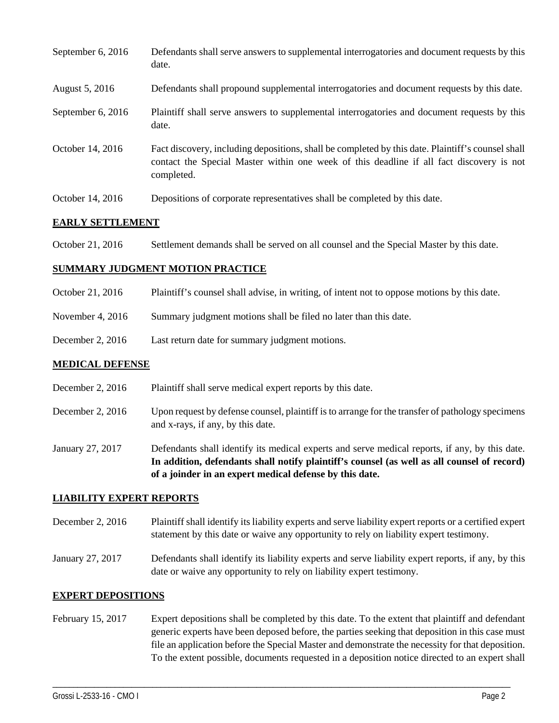| September $6, 2016$ | Defendants shall serve answers to supplemental interrogatories and document requests by this<br>date.                                                                                                       |
|---------------------|-------------------------------------------------------------------------------------------------------------------------------------------------------------------------------------------------------------|
| August 5, 2016      | Defendants shall propound supplemental interrogatories and document requests by this date.                                                                                                                  |
| September 6, 2016   | Plaintiff shall serve answers to supplemental interrogatories and document requests by this<br>date.                                                                                                        |
| October 14, 2016    | Fact discovery, including depositions, shall be completed by this date. Plaintiff's counsel shall<br>contact the Special Master within one week of this deadline if all fact discovery is not<br>completed. |
| October 14, 2016    | Depositions of corporate representatives shall be completed by this date.                                                                                                                                   |

### **EARLY SETTLEMENT**

October 21, 2016 Settlement demands shall be served on all counsel and the Special Master by this date.

#### **SUMMARY JUDGMENT MOTION PRACTICE**

- October 21, 2016 Plaintiff's counsel shall advise, in writing, of intent not to oppose motions by this date.
- November 4, 2016 Summary judgment motions shall be filed no later than this date.
- December 2, 2016 Last return date for summary judgment motions.

#### **MEDICAL DEFENSE**

- December 2, 2016 Plaintiff shall serve medical expert reports by this date.
- December 2, 2016 Upon request by defense counsel, plaintiff is to arrange for the transfer of pathology specimens and x-rays, if any, by this date.
- January 27, 2017 Defendants shall identify its medical experts and serve medical reports, if any, by this date. **In addition, defendants shall notify plaintiff's counsel (as well as all counsel of record) of a joinder in an expert medical defense by this date.**

#### **LIABILITY EXPERT REPORTS**

- December 2, 2016 Plaintiff shall identify its liability experts and serve liability expert reports or a certified expert statement by this date or waive any opportunity to rely on liability expert testimony.
- January 27, 2017 Defendants shall identify its liability experts and serve liability expert reports, if any, by this date or waive any opportunity to rely on liability expert testimony.

#### **EXPERT DEPOSITIONS**

February 15, 2017 Expert depositions shall be completed by this date. To the extent that plaintiff and defendant generic experts have been deposed before, the parties seeking that deposition in this case must file an application before the Special Master and demonstrate the necessity for that deposition. To the extent possible, documents requested in a deposition notice directed to an expert shall

\_\_\_\_\_\_\_\_\_\_\_\_\_\_\_\_\_\_\_\_\_\_\_\_\_\_\_\_\_\_\_\_\_\_\_\_\_\_\_\_\_\_\_\_\_\_\_\_\_\_\_\_\_\_\_\_\_\_\_\_\_\_\_\_\_\_\_\_\_\_\_\_\_\_\_\_\_\_\_\_\_\_\_\_\_\_\_\_\_\_\_\_\_\_\_\_\_\_\_\_\_\_\_\_\_\_\_\_\_\_